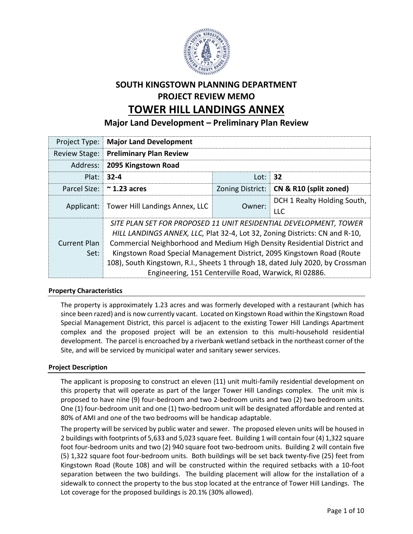

# **SOUTH KINGSTOWN PLANNING DEPARTMENT PROJECT REVIEW MEMO TOWER HILL LANDINGS ANNEX**

**Major Land Development – Preliminary Plan Review**

| Project Type:        | <b>Major Land Development</b>                                                  |        |                                           |
|----------------------|--------------------------------------------------------------------------------|--------|-------------------------------------------|
| <b>Review Stage:</b> | <b>Preliminary Plan Review</b>                                                 |        |                                           |
| Address:             | 2095 Kingstown Road                                                            |        |                                           |
| Plat:                | $32 - 4$                                                                       | Lot:   | 32                                        |
|                      | Parcel Size: 2.23 acres                                                        |        | Zoning District:   CN & R10 (split zoned) |
|                      | Applicant:   Tower Hill Landings Annex, LLC                                    | Owner: | DCH 1 Realty Holding South,               |
|                      |                                                                                |        | <b>LLC</b>                                |
|                      | SITE PLAN SET FOR PROPOSED 11 UNIT RESIDENTIAL DEVELOPMENT, TOWER              |        |                                           |
|                      | HILL LANDINGS ANNEX, LLC, Plat 32-4, Lot 32, Zoning Districts: CN and R-10,    |        |                                           |
| <b>Current Plan</b>  | Commercial Neighborhood and Medium High Density Residential District and       |        |                                           |
| Set:                 | Kingstown Road Special Management District, 2095 Kingstown Road (Route         |        |                                           |
|                      | 108), South Kingstown, R.I., Sheets 1 through 18, dated July 2020, by Crossman |        |                                           |
|                      | Engineering, 151 Centerville Road, Warwick, RI 02886.                          |        |                                           |

# **Property Characteristics**

The property is approximately 1.23 acres and was formerly developed with a restaurant (which has since been razed) and is now currently vacant. Located on Kingstown Road within the Kingstown Road Special Management District, this parcel is adjacent to the existing Tower Hill Landings Apartment complex and the proposed project will be an extension to this multi-household residential development. The parcel is encroached by a riverbank wetland setback in the northeast corner of the Site, and will be serviced by municipal water and sanitary sewer services.

## **Project Description**

The applicant is proposing to construct an eleven (11) unit multi-family residential development on this property that will operate as part of the larger Tower Hill Landings complex. The unit mix is proposed to have nine (9) four-bedroom and two 2-bedroom units and two (2) two bedroom units. One (1) four-bedroom unit and one (1) two-bedroom unit will be designated affordable and rented at 80% of AMI and one of the two bedrooms will be handicap adaptable.

The property will be serviced by public water and sewer. The proposed eleven units will be housed in 2 buildings with footprints of 5,633 and 5,023 square feet. Building 1 will contain four (4) 1,322 square foot four-bedroom units and two (2) 940 square foot two-bedroom units. Building 2 will contain five (5) 1,322 square foot four-bedroom units. Both buildings will be set back twenty-five (25) feet from Kingstown Road (Route 108) and will be constructed within the required setbacks with a 10-foot separation between the two buildings. The building placement will allow for the installation of a sidewalk to connect the property to the bus stop located at the entrance of Tower Hill Landings. The Lot coverage for the proposed buildings is 20.1% (30% allowed).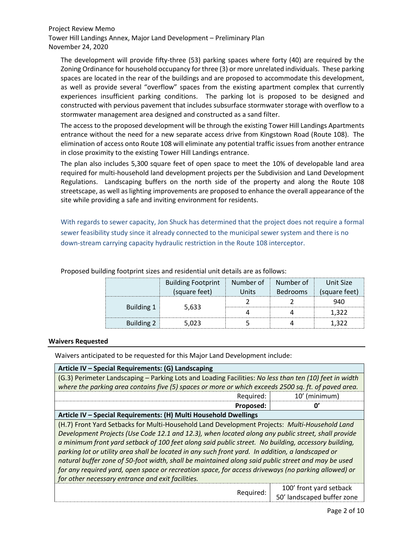The development will provide fifty-three (53) parking spaces where forty (40) are required by the Zoning Ordinance for household occupancy for three (3) or more unrelated individuals. These parking spaces are located in the rear of the buildings and are proposed to accommodate this development, as well as provide several "overflow" spaces from the existing apartment complex that currently experiences insufficient parking conditions. The parking lot is proposed to be designed and constructed with pervious pavement that includes subsurface stormwater storage with overflow to a stormwater management area designed and constructed as a sand filter.

The access to the proposed development will be through the existing Tower Hill Landings Apartments entrance without the need for a new separate access drive from Kingstown Road (Route 108). The elimination of access onto Route 108 will eliminate any potential traffic issues from another entrance in close proximity to the existing Tower Hill Landings entrance.

The plan also includes 5,300 square feet of open space to meet the 10% of developable land area required for multi-household land development projects per the Subdivision and Land Development Regulations. Landscaping buffers on the north side of the property and along the Route 108 streetscape, as well as lighting improvements are proposed to enhance the overall appearance of the site while providing a safe and inviting environment for residents.

With regards to sewer capacity, Jon Shuck has determined that the project does not require a formal sewer feasibility study since it already connected to the municipal sewer system and there is no down-stream carrying capacity hydraulic restriction in the Route 108 interceptor.

|            | <b>Building Footprint</b> | Number of | Number of       | Unit Size     |
|------------|---------------------------|-----------|-----------------|---------------|
|            | (square feet)             | Jnifs     | <b>Bedrooms</b> | (square feet) |
|            |                           |           |                 | -940          |
| Building 1 | 5,633                     |           |                 |               |
| Building 2 | .023                      |           |                 |               |

Proposed building footprint sizes and residential unit details are as follows:

#### **Waivers Requested**

Waivers anticipated to be requested for this Major Land Development include:

| Article IV - Special Requirements: (G) Landscaping                                                     |                         |
|--------------------------------------------------------------------------------------------------------|-------------------------|
| (G.3) Perimeter Landscaping - Parking Lots and Loading Facilities: No less than ten (10) feet in width |                         |
| where the parking area contains five (5) spaces or more or which exceeds 2500 sq. ft. of paved area.   |                         |
| Required:                                                                                              | 10' (minimum)           |
| Proposed:                                                                                              | U,                      |
| Article IV - Special Requirements: (H) Multi Household Dwellings                                       |                         |
| (H.7) Front Yard Setbacks for Multi-Household Land Development Projects: Multi-Household Land          |                         |
| Development Projects (Use Code 12.1 and 12.3), when located along any public street, shall provide     |                         |
| a minimum front yard setback of 100 feet along said public street. No building, accessory building,    |                         |
| parking lot or utility area shall be located in any such front yard. In addition, a landscaped or      |                         |
| natural buffer zone of 50-foot width, shall be maintained along said public street and may be used     |                         |
| for any required yard, open space or recreation space, for access driveways (no parking allowed) or    |                         |
| for other necessary entrance and exit facilities.                                                      |                         |
|                                                                                                        | 100' front yard setback |

Required: 100' front yard setback 50' landscaped buffer zone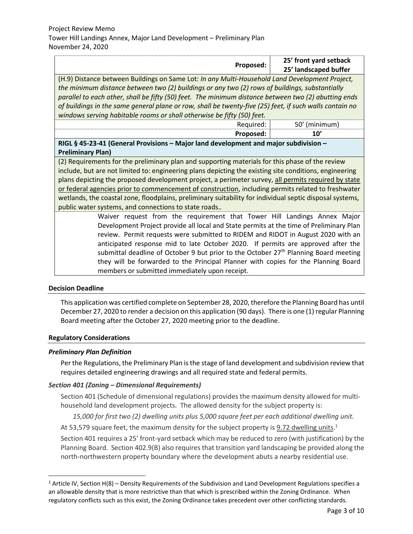| Proposed:                                                                                                                                                                                                                                                                                 | 25' front yard setback<br>25' landscaped buffer |
|-------------------------------------------------------------------------------------------------------------------------------------------------------------------------------------------------------------------------------------------------------------------------------------------|-------------------------------------------------|
| (H.9) Distance between Buildings on Same Lot: In any Multi-Household Land Development Project,<br>the minimum distance between two (2) buildings or any two (2) rows of buildings, substantially                                                                                          |                                                 |
| parallel to each other, shall be fifty (50) feet. The minimum distance between two (2) abutting ends<br>of buildings in the same general plane or row, shall be twenty-five (25) feet, if such walls contain no<br>windows serving habitable rooms or shall otherwise be fifty (50) feet. |                                                 |
| Required:                                                                                                                                                                                                                                                                                 | 50' (minimum)                                   |

# **RIGL § 45-23-41 (General Provisions – Major land development and major subdivision – Preliminary Plan)**

(2) Requirements for the preliminary plan and supporting materials for this phase of the review include, but are not limited to: engineering plans depicting the existing site conditions, engineering plans depicting the proposed development project, a perimeter survey, all permits required by state or federal agencies prior to commencement of construction, including permits related to freshwater wetlands, the coastal zone, floodplains, preliminary suitability for individual septic disposal systems, public water systems, and connections to state roads.*.*

> Waiver request from the requirement that Tower Hill Landings Annex Major Development Project provide all local and State permits at the time of Preliminary Plan review. Permit requests were submitted to RIDEM and RIDOT in August 2020 with an anticipated response mid to late October 2020. If permits are approved after the submittal deadline of October 9 but prior to the October  $27<sup>th</sup>$  Planning Board meeting they will be forwarded to the Principal Planner with copies for the Planning Board members or submitted immediately upon receipt.

**Proposed: 10'**

## **Decision Deadline**

 $\overline{\phantom{a}}$ 

This application was certified complete on September 28, 2020, therefore the Planning Board has until December 27, 2020 to render a decision on this application (90 days). There is one (1) regular Planning Board meeting after the October 27, 2020 meeting prior to the deadline.

## **Regulatory Considerations**

# *Preliminary Plan Definition*

Per the Regulations, the Preliminary Plan is the stage of land development and subdivision review that requires detailed engineering drawings and all required state and federal permits.

# *Section 401 (Zoning – Dimensional Requirements)*

Section 401 (Schedule of dimensional regulations) provides the maximum density allowed for multihousehold land development projects. The allowed density for the subject property is:

*15,000 for first two (2) dwelling units plus 5,000 square feet per each additional dwelling unit.*

At 53,579 square feet, the maximum density for the subject property is <u>9.72 dwelling units</u>.<sup>1</sup>

Section 401 requires a 25' front-yard setback which may be reduced to zero (with justification) by the Planning Board. Section 402.9(B) also requires that transition yard landscaping be provided along the north-northwestern property boundary where the development abuts a nearby residential use.

<sup>&</sup>lt;sup>1</sup> Article IV, Section H(8) – Density Requirements of the Subdivision and Land Development Regulations specifies a an allowable density that is more restrictive than that which is prescribed within the Zoning Ordinance. When regulatory conflicts such as this exist, the Zoning Ordinance takes precedent over other conflicting standards.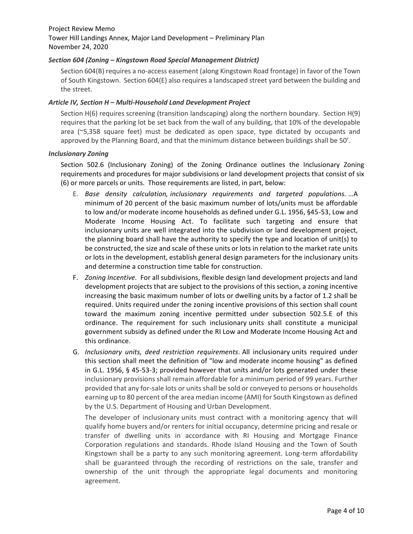## *Section 604 (Zoning – Kingstown Road Special Management District)*

Section 604(B) requires a no-access easement (along Kingstown Road frontage) in favor of the Town of South Kingstown. Section 604(E) also requires a landscaped street yard between the building and the street.

#### *Article IV, Section H – Multi-Household Land Development Project*

Section H(6) requires screening (transition landscaping) along the northern boundary. Section H(9) requires that the parking lot be set back from the wall of any building, that 10% of the developable area (~5,358 square feet) must be dedicated as open space, type dictated by occupants and approved by the Planning Board, and that the minimum distance between buildings shall be 50'.

#### *Inclusionary Zoning*

Section 502.6 (Inclusionary Zoning) of the Zoning Ordinance outlines the Inclusionary Zoning requirements and procedures for major subdivisions or land development projects that consist of six (6) or more parcels or units. Those requirements are listed, in part, below:

- E. *Base density calculation, inclusionary requirements and targeted populations.* …A minimum of 20 percent of the basic maximum number of lots/units must be affordable to low and/or moderate income households as defined under G.L. 1956, §45-53, Low and Moderate Income Housing Act. To facilitate such targeting and ensure that inclusionary units are well integrated into the subdivision or land development project, the planning board shall have the authority to specify the type and location of unit(s) to be constructed, the size and scale of these units or lots in relation to the market rate units or lots in the development, establish general design parameters for the inclusionary units and determine a construction time table for construction.
- F. *Zoning Incentive.* For all subdivisions, flexible design land development projects and land development projects that are subject to the provisions of this section, a zoning incentive increasing the basic maximum number of lots or dwelling units by a factor of 1.2 shall be required. Units required under the zoning incentive provisions of this section shall count toward the maximum zoning incentive permitted under subsection 502.5.E of this ordinance. The requirement for such inclusionary units shall constitute a municipal government subsidy as defined under the RI Low and Moderate Income Housing Act and this ordinance.
- G. *Inclusionary units, deed restriction requirements.* All inclusionary units required under this section shall meet the definition of "low and moderate income housing" as defined in G.L. 1956, § 45-53-3; provided however that units and/or lots generated under these inclusionary provisions shall remain affordable for a minimum period of 99 years. Further provided that any for-sale lots or units shall be sold or conveyed to persons or households earning up to 80 percent of the area median income (AMI) for South Kingstown as defined by the U.S. Department of Housing and Urban Development.

The developer of inclusionary units must contract with a monitoring agency that will qualify home buyers and/or renters for initial occupancy, determine pricing and resale or transfer of dwelling units in accordance with RI Housing and Mortgage Finance Corporation regulations and standards. Rhode Island Housing and the Town of South Kingstown shall be a party to any such monitoring agreement. Long-term affordability shall be guaranteed through the recording of restrictions on the sale, transfer and ownership of the unit through the appropriate legal documents and monitoring agreement.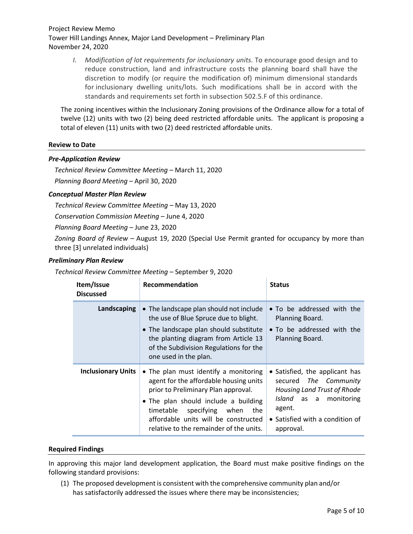*I. Modification of lot requirements for inclusionary units.* To encourage good design and to reduce construction, land and infrastructure costs the planning board shall have the discretion to modify (or require the modification of) minimum dimensional standards for inclusionary dwelling units/lots. Such modifications shall be in accord with the standards and requirements set forth in subsection 502.5.F of this ordinance.

The zoning incentives within the Inclusionary Zoning provisions of the Ordinance allow for a total of twelve (12) units with two (2) being deed restricted affordable units. The applicant is proposing a total of eleven (11) units with two (2) deed restricted affordable units.

#### **Review to Date**

#### *Pre-Application Review*

*Technical Review Committee Meeting –* March 11, 2020 *Planning Board Meeting –* April 30, 2020

#### *Conceptual Master Plan Review*

*Technical Review Committee Meeting –* May 13, 2020

*Conservation Commission Meeting –* June 4, 2020

*Planning Board Meeting –* June 23, 2020

*Zoning Board of Review –* August 19, 2020 (Special Use Permit granted for occupancy by more than three [3] unrelated individuals)

#### *Preliminary Plan Review*

*Technical Review Committee Meeting –* September 9, 2020

| Item/Issue<br><b>Discussed</b> | <b>Recommendation</b>                                                                                                                                                                                                                                                                    | <b>Status</b>                                                                                                                                                                        |
|--------------------------------|------------------------------------------------------------------------------------------------------------------------------------------------------------------------------------------------------------------------------------------------------------------------------------------|--------------------------------------------------------------------------------------------------------------------------------------------------------------------------------------|
| Landscaping                    | • The landscape plan should not include<br>the use of Blue Spruce due to blight.<br>• The landscape plan should substitute<br>the planting diagram from Article 13<br>of the Subdivision Regulations for the<br>one used in the plan.                                                    | • To be addressed with the<br>Planning Board.<br>• To be addressed with the<br>Planning Board.                                                                                       |
| <b>Inclusionary Units</b>      | • The plan must identify a monitoring<br>agent for the affordable housing units<br>prior to Preliminary Plan approval.<br>• The plan should include a building<br>timetable<br>specifying when<br>the<br>affordable units will be constructed<br>relative to the remainder of the units. | • Satisfied, the applicant has<br>secured The Community<br>Housing Land Trust of Rhode<br><i>Island</i> as a<br>monitoring<br>agent.<br>• Satisfied with a condition of<br>approval. |

#### **Required Findings**

In approving this major land development application, the Board must make positive findings on the following standard provisions:

(1) The proposed development is consistent with the comprehensive community plan and/or has satisfactorily addressed the issues where there may be inconsistencies;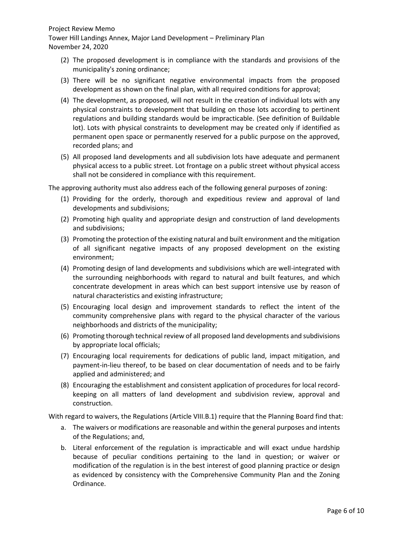#### Project Review Memo

Tower Hill Landings Annex, Major Land Development – Preliminary Plan November 24, 2020

- (2) The proposed development is in compliance with the standards and provisions of the municipality's zoning ordinance;
- (3) There will be no significant negative environmental impacts from the proposed development as shown on the final plan, with all required conditions for approval;
- (4) The development, as proposed, will not result in the creation of individual lots with any physical constraints to development that building on those lots according to pertinent regulations and building standards would be impracticable. (See definition of Buildable lot). Lots with physical constraints to development may be created only if identified as permanent open space or permanently reserved for a public purpose on the approved, recorded plans; and
- (5) All proposed land developments and all subdivision lots have adequate and permanent physical access to a public street. Lot frontage on a public street without physical access shall not be considered in compliance with this requirement.

The approving authority must also address each of the following general purposes of zoning:

- (1) Providing for the orderly, thorough and expeditious review and approval of land developments and subdivisions;
- (2) Promoting high quality and appropriate design and construction of land developments and subdivisions;
- (3) Promoting the protection of the existing natural and built environment and the mitigation of all significant negative impacts of any proposed development on the existing environment;
- (4) Promoting design of land developments and subdivisions which are well-integrated with the surrounding neighborhoods with regard to natural and built features, and which concentrate development in areas which can best support intensive use by reason of natural characteristics and existing infrastructure;
- (5) Encouraging local design and improvement standards to reflect the intent of the community comprehensive plans with regard to the physical character of the various neighborhoods and districts of the municipality;
- (6) Promoting thorough technical review of all proposed land developments and subdivisions by appropriate local officials;
- (7) Encouraging local requirements for dedications of public land, impact mitigation, and payment-in-lieu thereof, to be based on clear documentation of needs and to be fairly applied and administered; and
- (8) Encouraging the establishment and consistent application of procedures for local recordkeeping on all matters of land development and subdivision review, approval and construction.

With regard to waivers, the Regulations (Article VIII.B.1) require that the Planning Board find that:

- a. The waivers or modifications are reasonable and within the general purposes and intents of the Regulations; and,
- b. Literal enforcement of the regulation is impracticable and will exact undue hardship because of peculiar conditions pertaining to the land in question; or waiver or modification of the regulation is in the best interest of good planning practice or design as evidenced by consistency with the Comprehensive Community Plan and the Zoning Ordinance.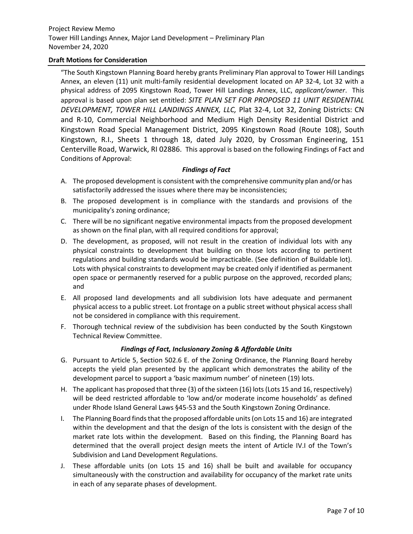## **Draft Motions for Consideration**

"The South Kingstown Planning Board hereby grants Preliminary Plan approval to Tower Hill Landings Annex, an eleven (11) unit multi-family residential development located on AP 32-4, Lot 32 with a physical address of 2095 Kingstown Road, Tower Hill Landings Annex, LLC, *applicant/owner*. This approval is based upon plan set entitled: *SITE PLAN SET FOR PROPOSED 11 UNIT RESIDENTIAL DEVELOPMENT, TOWER HILL LANDINGS ANNEX, LLC,* Plat 32-4, Lot 32, Zoning Districts: CN and R-10, Commercial Neighborhood and Medium High Density Residential District and Kingstown Road Special Management District, 2095 Kingstown Road (Route 108), South Kingstown, R.I., Sheets 1 through 18, dated July 2020, by Crossman Engineering, 151 Centerville Road, Warwick, RI 02886. This approval is based on the following Findings of Fact and Conditions of Approval:

## *Findings of Fact*

- A. The proposed development is consistent with the comprehensive community plan and/or has satisfactorily addressed the issues where there may be inconsistencies;
- B. The proposed development is in compliance with the standards and provisions of the municipality's zoning ordinance;
- C. There will be no significant negative environmental impacts from the proposed development as shown on the final plan, with all required conditions for approval;
- D. The development, as proposed, will not result in the creation of individual lots with any physical constraints to development that building on those lots according to pertinent regulations and building standards would be impracticable. (See definition of Buildable lot). Lots with physical constraints to development may be created only if identified as permanent open space or permanently reserved for a public purpose on the approved, recorded plans; and
- E. All proposed land developments and all subdivision lots have adequate and permanent physical access to a public street. Lot frontage on a public street without physical access shall not be considered in compliance with this requirement.
- F. Thorough technical review of the subdivision has been conducted by the South Kingstown Technical Review Committee.

## *Findings of Fact, Inclusionary Zoning & Affordable Units*

- G. Pursuant to Article 5, Section 502.6 E. of the Zoning Ordinance, the Planning Board hereby accepts the yield plan presented by the applicant which demonstrates the ability of the development parcel to support a 'basic maximum number' of nineteen (19) lots.
- H. The applicant has proposed that three (3) of the sixteen (16) lots (Lots 15 and 16, respectively) will be deed restricted affordable to 'low and/or moderate income households' as defined under Rhode Island General Laws §45-53 and the South Kingstown Zoning Ordinance.
- I. The Planning Board finds that the proposed affordable units (on Lots 15 and 16) are integrated within the development and that the design of the lots is consistent with the design of the market rate lots within the development. Based on this finding, the Planning Board has determined that the overall project design meets the intent of Article IV.I of the Town's Subdivision and Land Development Regulations.
- J. These affordable units (on Lots 15 and 16) shall be built and available for occupancy simultaneously with the construction and availability for occupancy of the market rate units in each of any separate phases of development.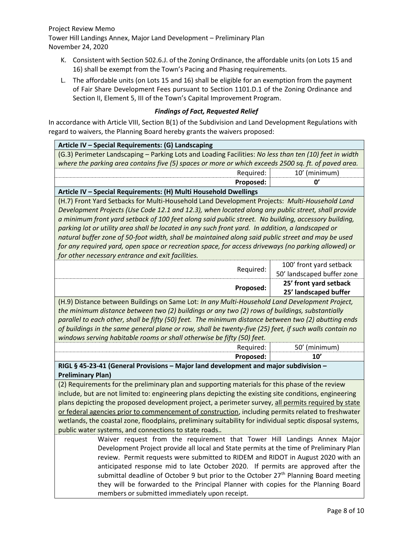- K. Consistent with Section 502.6.J. of the Zoning Ordinance, the affordable units (on Lots 15 and 16) shall be exempt from the Town's Pacing and Phasing requirements.
- L. The affordable units (on Lots 15 and 16) shall be eligible for an exemption from the payment of Fair Share Development Fees pursuant to Section 1101.D.1 of the Zoning Ordinance and Section II, Element 5, III of the Town's Capital Improvement Program.

## *Findings of Fact, Requested Relief*

In accordance with Article VIII, Section B(1) of the Subdivision and Land Development Regulations with regard to waivers, the Planning Board hereby grants the waivers proposed:

| Article IV - Special Requirements: (G) Landscaping                                                     |                            |
|--------------------------------------------------------------------------------------------------------|----------------------------|
| (G.3) Perimeter Landscaping – Parking Lots and Loading Facilities: No less than ten (10) feet in width |                            |
| where the parking area contains five (5) spaces or more or which exceeds 2500 sq. ft. of paved area.   |                            |
|                                                                                                        | 10' (minimum)<br>Required: |
|                                                                                                        | Proposed:                  |
| Article IV - Special Requirements: (H) Multi Household Dwellings                                       |                            |
| (H 7) Front Vard Sethacks for Multi-Household Land Development Projects: Multi-Household Land          |                            |

(H.7) Front Yard Setbacks for Multi-Household Land Development Projects: *Multi-Household Land Development Projects (Use Code 12.1 and 12.3), when located along any public street, shall provide a minimum front yard setback of 100 feet along said public street. No building, accessory building, parking lot or utility area shall be located in any such front yard. In addition, a landscaped or natural buffer zone of 50-foot width, shall be maintained along said public street and may be used for any required yard, open space or recreation space, for access driveways (no parking allowed) or for other necessary entrance and exit facilities.*

| Proposed: | 25' front yard setback<br>25' landscaped buffer       |
|-----------|-------------------------------------------------------|
| Required: | 100' front yard setback<br>50' landscaped buffer zone |

(H.9) Distance between Buildings on Same Lot: *In any Multi-Household Land Development Project, the minimum distance between two (2) buildings or any two (2) rows of buildings, substantially parallel to each other, shall be fifty (50) feet. The minimum distance between two (2) abutting ends of buildings in the same general plane or row, shall be twenty-five (25) feet, if such walls contain no windows serving habitable rooms or shall otherwise be fifty (50) feet.*

| 50'<br>Required<br>'minimum)<br>10'<br>Proposed: |
|--------------------------------------------------|
|                                                  |

**RIGL § 45-23-41 (General Provisions – Major land development and major subdivision – Preliminary Plan)**

(2) Requirements for the preliminary plan and supporting materials for this phase of the review include, but are not limited to: engineering plans depicting the existing site conditions, engineering plans depicting the proposed development project, a perimeter survey, all permits required by state or federal agencies prior to commencement of construction, including permits related to freshwater wetlands, the coastal zone, floodplains, preliminary suitability for individual septic disposal systems, public water systems, and connections to state roads.*.*

> Waiver request from the requirement that Tower Hill Landings Annex Major Development Project provide all local and State permits at the time of Preliminary Plan review. Permit requests were submitted to RIDEM and RIDOT in August 2020 with an anticipated response mid to late October 2020. If permits are approved after the submittal deadline of October 9 but prior to the October  $27<sup>th</sup>$  Planning Board meeting they will be forwarded to the Principal Planner with copies for the Planning Board members or submitted immediately upon receipt.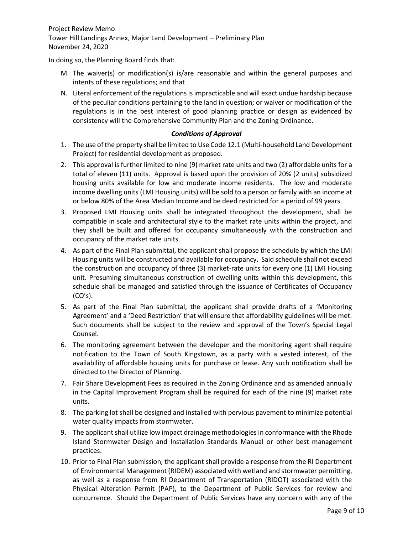In doing so, the Planning Board finds that:

- M. The waiver(s) or modification(s) is/are reasonable and within the general purposes and intents of these regulations; and that
- N. Literal enforcement of the regulations is impracticable and will exact undue hardship because of the peculiar conditions pertaining to the land in question; or waiver or modification of the regulations is in the best interest of good planning practice or design as evidenced by consistency will the Comprehensive Community Plan and the Zoning Ordinance.

## *Conditions of Approval*

- 1. The use of the property shall be limited to Use Code 12.1 (Multi-household Land Development Project) for residential development as proposed.
- 2. This approval is further limited to nine (9) market rate units and two (2) affordable units for a total of eleven (11) units. Approval is based upon the provision of 20% (2 units) subsidized housing units available for low and moderate income residents. The low and moderate income dwelling units (LMI Housing units) will be sold to a person or family with an income at or below 80% of the Area Median Income and be deed restricted for a period of 99 years.
- 3. Proposed LMI Housing units shall be integrated throughout the development, shall be compatible in scale and architectural style to the market rate units within the project, and they shall be built and offered for occupancy simultaneously with the construction and occupancy of the market rate units.
- 4. As part of the Final Plan submittal, the applicant shall propose the schedule by which the LMI Housing units will be constructed and available for occupancy. Said schedule shall not exceed the construction and occupancy of three (3) market-rate units for every one (1) LMI Housing unit. Presuming simultaneous construction of dwelling units within this development, this schedule shall be managed and satisfied through the issuance of Certificates of Occupancy  $(CO's)$ .
- 5. As part of the Final Plan submittal, the applicant shall provide drafts of a 'Monitoring Agreement' and a 'Deed Restriction' that will ensure that affordability guidelines will be met. Such documents shall be subject to the review and approval of the Town's Special Legal Counsel.
- 6. The monitoring agreement between the developer and the monitoring agent shall require notification to the Town of South Kingstown, as a party with a vested interest, of the availability of affordable housing units for purchase or lease. Any such notification shall be directed to the Director of Planning.
- 7. Fair Share Development Fees as required in the Zoning Ordinance and as amended annually in the Capital Improvement Program shall be required for each of the nine (9) market rate units.
- 8. The parking lot shall be designed and installed with pervious pavement to minimize potential water quality impacts from stormwater.
- 9. The applicant shall utilize low impact drainage methodologies in conformance with the Rhode Island Stormwater Design and Installation Standards Manual or other best management practices.
- 10. Prior to Final Plan submission, the applicant shall provide a response from the RI Department of Environmental Management (RIDEM) associated with wetland and stormwater permitting, as well as a response from RI Department of Transportation (RIDOT) associated with the Physical Alteration Permit (PAP), to the Department of Public Services for review and concurrence. Should the Department of Public Services have any concern with any of the